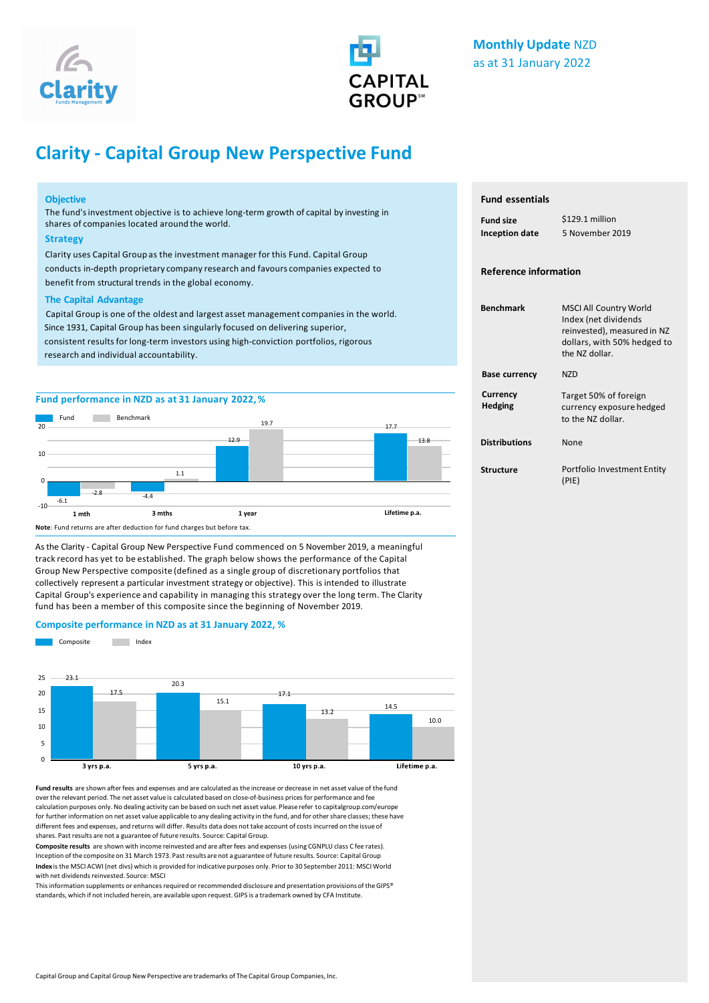



# **Clarity - Capital Group New Perspective Fund**

### **Objective**

The fund'sinvestment objective is to achieve long-term growth of capital by investing in shares of companies located around the world.

#### **Strategy**

Clarity uses Capital Group as the investment manager for this Fund. Capital Group conducts in-depth proprietary company research and favours companies expected to benefit from structural trends in the global economy.

#### **The Capital Advantage**

Capital Group is one of the oldest and largest asset management companies in the world. Since 1931, Capital Group has been singularly focused on delivering superior, consistent results for long-term investors using high-conviction portfolios, rigorous research and individual accountability.

# **Fund performance in NZD as at 28 February 2022,%**



**Note**: Fund returns are after deduction for fund charges but before tax.

As the Clarity - Capital Group New Perspective Fund commenced on 5 November 2019, a meaningful track record has yet to be established. The graph below shows the performance of the Capital Group New Perspective composite (defined as a single group of discretionary portfolios that collectively represent a particular investment strategy or objective). This is intended to illustrate Capital Group's experience and capability in managing this strategy over the long term. The Clarity fund has been a member of this composite since the beginning of November 2019.

### **Composite performance in NZD as at 28 February 2022, %**



**Fund results** are shown after fees and expenses and are calculated as the increase or decrease in net asset value of the fund over the relevant period. The net asset value is calculated based on close-of-business prices for performance and fee calculation purposes only. No dealing activity can be based on such net asset value. Please refer to capitalgroup.com/europe for further information on net asset value applicable to any dealing activity in the fund, and for other share classes; these have different fees and expenses, and returns will differ. Results data does not take account of costs incurred on the issue of shares. Past results are not a guarantee of future results. Source: Capital Group.

**Composite results** are shown with income reinvested and are after fees and expenses (using CGNPLU class C fee rates). Inception ofthe composite on 31 March 1973. Past results are not a guarantee of future results. Source: Capital Group **Index** is the MSCI ACWI (net divs) which is provided for indicative purposes only. Prior to 30 September 2011: MSCI World with net dividends reinvested. Source: MSCI

This information supplements or enhances required or recommended disclosure and presentation provisions of the GIPS® standards, which if not included herein, are available upon request. GIPS is a trademark owned by CFA Institute.

# **Fund essentials**

| <b>Fund size</b>      | \$120.8 million |  |
|-----------------------|-----------------|--|
| <b>Inception date</b> | 5 November 2019 |  |

# **Reference information**

| <b>Benchmark</b>           | <b>MSCI All Country World</b><br>Index (net dividends<br>reinvested), measured in NZ<br>dollars, with 50% hedged to<br>the NZ dollar. |
|----------------------------|---------------------------------------------------------------------------------------------------------------------------------------|
| <b>Base currency</b>       | N7D                                                                                                                                   |
| Currency<br><b>Hedging</b> | Target 50% of foreign<br>currency exposure hedged<br>to the N7 dollar.                                                                |
| <b>Distributions</b>       | <b>None</b>                                                                                                                           |
| Structure                  | Portfolio Investment Entity<br>(PIE)                                                                                                  |